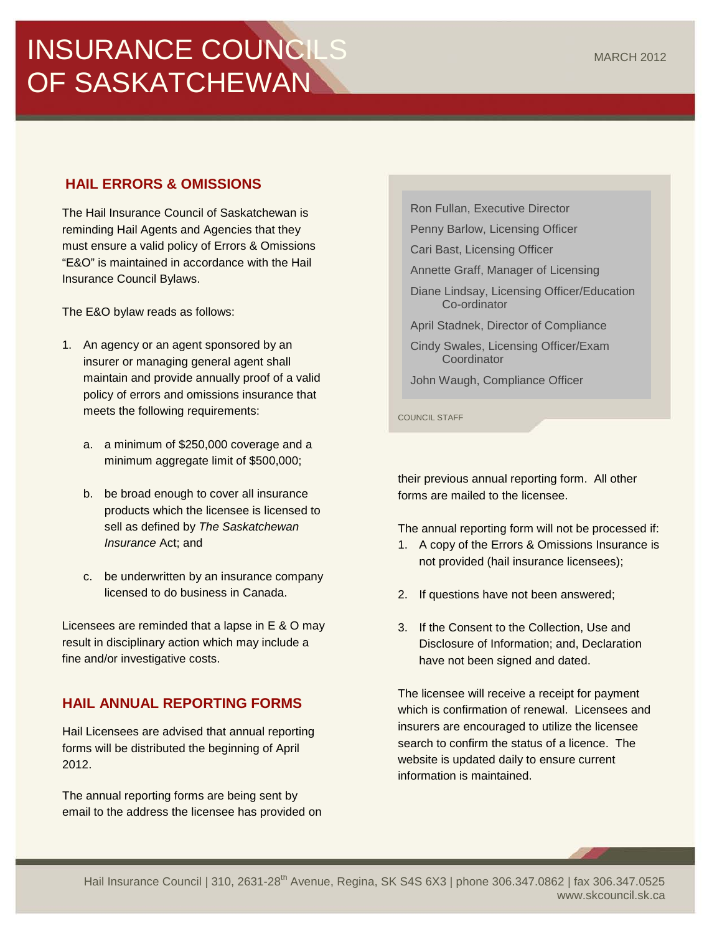# INSURANCE COUNCILS OF SASKATCHEWAN

## **HAIL ERRORS & OMISSIONS**

The Hail Insurance Council of Saskatchewan is reminding Hail Agents and Agencies that they must ensure a valid policy of Errors & Omissions "E&O" is maintained in accordance with the Hail Insurance Council Bylaws.

The E&O bylaw reads as follows:

- 1. An agency or an agent sponsored by an insurer or managing general agent shall maintain and provide annually proof of a valid policy of errors and omissions insurance that meets the following requirements:
	- a. a minimum of \$250,000 coverage and a minimum aggregate limit of \$500,000;
	- b. be broad enough to cover all insurance products which the licensee is licensed to sell as defined by *The Saskatchewan Insurance* Act; and
	- c. be underwritten by an insurance company licensed to do business in Canada.

Licensees are reminded that a lapse in E & O may result in disciplinary action which may include a fine and/or investigative costs.

## **HAIL ANNUAL REPORTING FORMS**

Hail Licensees are advised that annual reporting forms will be distributed the beginning of April 2012.

The annual reporting forms are being sent by email to the address the licensee has provided on Ron Fullan, Executive Director

Penny Barlow, Licensing Officer

Cari Bast, Licensing Officer

Annette Graff, Manager of Licensing

- Diane Lindsay, Licensing Officer/Education Co-ordinator
- April Stadnek, Director of Compliance
- Cindy Swales, Licensing Officer/Exam **Coordinator**

John Waugh, Compliance Officer

COUNCIL STAFF

their previous annual reporting form. All other forms are mailed to the licensee.

The annual reporting form will not be processed if:

- 1. A copy of the Errors & Omissions Insurance is not provided (hail insurance licensees);
- 2. If questions have not been answered;
- 3. If the Consent to the Collection, Use and Disclosure of Information; and, Declaration have not been signed and dated.

The licensee will receive a receipt for payment which is confirmation of renewal. Licensees and insurers are encouraged to utilize the licensee search to confirm the status of a licence. The website is updated daily to ensure current information is maintained.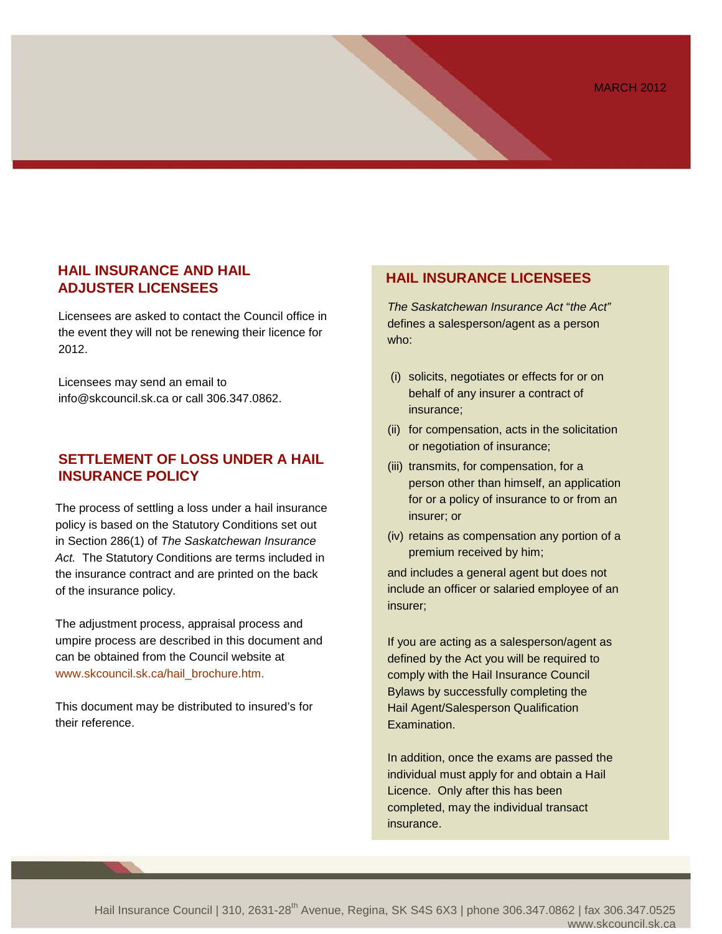#### **HAIL INSURANCE AND HAIL ADJUSTER LICENSEES**

Licensees are asked to contact the Council office in the event they will not be renewing their licence for 2012.

Licensees may send an email to [info@skcouncil.sk.ca](mailto:info@skcouncil.sk.ca) or call 306.347.0862.

#### **SETTLEMENT OF LOSS UNDER A HAIL INSURANCE POLICY**

The process of settling a loss under a hail insurance policy is based on the Statutory Conditions set out in Section 286(1) of *The Saskatchewan Insurance Act.* The Statutory Conditions are terms included in the insurance contract and are printed on the back of the insurance policy.

The adjustment process, appraisal process and umpire process are described in this document and can be obtained from the Council website at www.skcouncil.sk.ca/hail\_brochure.htm.

This document may be distributed to insured's for their reference.

### **HAIL INSURANCE LICENSEES**

*The Saskatchewan Insurance Act* "*the Act"* defines a salesperson/agent as a person who:

- (i) solicits, negotiates or effects for or on behalf of any insurer a contract of insurance;
- (ii) for compensation, acts in the solicitation or negotiation of insurance;
- (iii) transmits, for compensation, for a person other than himself, an application for or a policy of insurance to or from an insurer; or
- (iv) retains as compensation any portion of a premium received by him;

and includes a general agent but does not include an officer or salaried employee of an insurer;

If you are acting as a salesperson/agent as defined by the Act you will be required to comply with the Hail Insurance Council Bylaws by successfully completing the Hail Agent/Salesperson Qualification Examination.

In addition, once the exams are passed the individual must apply for and obtain a Hail Licence. Only after this has been completed, may the individual transact insurance.